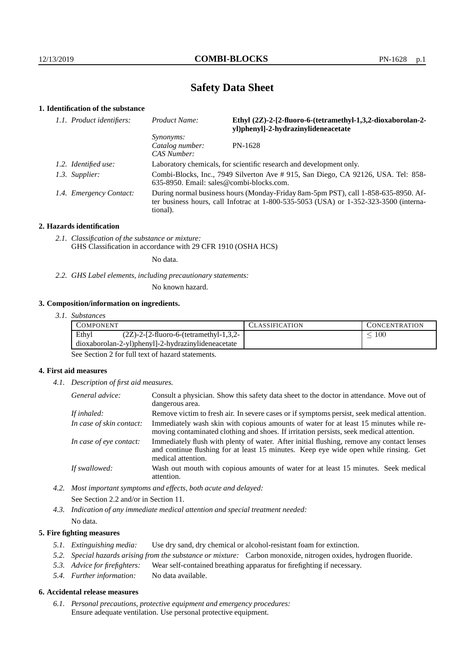# **Safety Data Sheet**

# **1. Identification of the substance**

| 1.1. Product identifiers: | Ethyl (2Z)-2-[2-fluoro-6-(tetramethyl-1,3,2-dioxaborolan-2-<br>Product Name:<br>yl)phenyl]-2-hydrazinylideneacetate                                                                         |         |
|---------------------------|---------------------------------------------------------------------------------------------------------------------------------------------------------------------------------------------|---------|
|                           | <i>Synonyms:</i><br>Catalog number:                                                                                                                                                         | PN-1628 |
|                           | CAS Number:                                                                                                                                                                                 |         |
| 1.2. Identified use:      | Laboratory chemicals, for scientific research and development only.                                                                                                                         |         |
| 1.3. Supplier:            | Combi-Blocks, Inc., 7949 Silverton Ave # 915, San Diego, CA 92126, USA. Tel: 858-<br>$635-8950$ . Email: sales@combi-blocks.com.                                                            |         |
| 1.4. Emergency Contact:   | During normal business hours (Monday-Friday 8am-5pm PST), call 1-858-635-8950. Af-<br>ter business hours, call Infotrac at $1-800-535-5053$ (USA) or $1-352-323-3500$ (interna-<br>tional). |         |

#### **2. Hazards identification**

*2.1. Classification of the substance or mixture:* GHS Classification in accordance with 29 CFR 1910 (OSHA HCS)

No data.

*2.2. GHS Label elements, including precautionary statements:*

No known hazard.

#### **3. Composition/information on ingredients.**

*3.1. Substances*

| Ethyl<br>100<br>$(2Z)$ -2-[2-fluoro-6-(tetramethyl-1,3,2-<br>dioxaborolan-2-yl)phenyl]-2-hydrazinylideneacetate | COMPONENT |  | <b>LASSIFICATION</b> | <b>CONCENTRATION</b> |
|-----------------------------------------------------------------------------------------------------------------|-----------|--|----------------------|----------------------|
|                                                                                                                 |           |  |                      |                      |
|                                                                                                                 |           |  |                      |                      |

See Section 2 for full text of hazard statements.

#### **4. First aid measures**

*4.1. Description of first aid measures.*

| General advice:          | Consult a physician. Show this safety data sheet to the doctor in attendance. Move out of<br>dangerous area.                                                                                            |
|--------------------------|---------------------------------------------------------------------------------------------------------------------------------------------------------------------------------------------------------|
| If inhaled:              | Remove victim to fresh air. In severe cases or if symptoms persist, seek medical attention.                                                                                                             |
| In case of skin contact: | Immediately wash skin with copious amounts of water for at least 15 minutes while re-<br>moving contaminated clothing and shoes. If irritation persists, seek medical attention.                        |
| In case of eye contact:  | Immediately flush with plenty of water. After initial flushing, remove any contact lenses<br>and continue flushing for at least 15 minutes. Keep eye wide open while rinsing. Get<br>medical attention. |
| If swallowed:            | Wash out mouth with copious amounts of water for at least 15 minutes. Seek medical<br>attention.                                                                                                        |

- *4.2. Most important symptoms and effects, both acute and delayed:* See Section 2.2 and/or in Section 11.
- *4.3. Indication of any immediate medical attention and special treatment needed:* No data.

#### **5. Fire fighting measures**

- *5.1. Extinguishing media:* Use dry sand, dry chemical or alcohol-resistant foam for extinction.
- *5.2. Special hazards arising from the substance or mixture:* Carbon monoxide, nitrogen oxides, hydrogen fluoride.
- *5.3. Advice for firefighters:* Wear self-contained breathing apparatus for firefighting if necessary.
- *5.4. Further information:* No data available.

## **6. Accidental release measures**

*6.1. Personal precautions, protective equipment and emergency procedures:* Ensure adequate ventilation. Use personal protective equipment.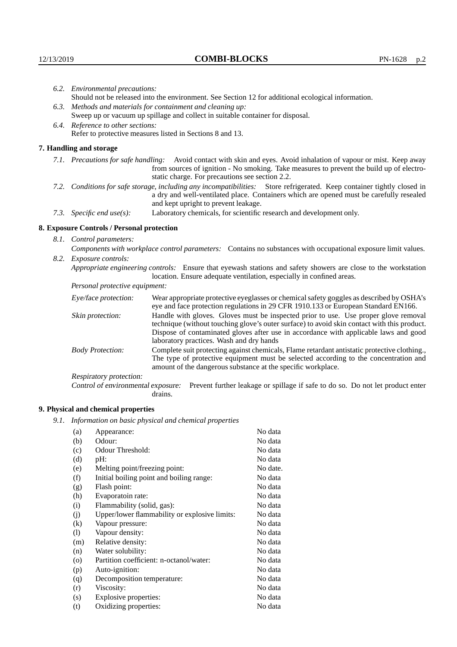| 6.2. Environmental precautions: |                                                                                                                                                                                                                                                                    |                                                                                                                                                                                    |  |  |
|---------------------------------|--------------------------------------------------------------------------------------------------------------------------------------------------------------------------------------------------------------------------------------------------------------------|------------------------------------------------------------------------------------------------------------------------------------------------------------------------------------|--|--|
|                                 | Should not be released into the environment. See Section 12 for additional ecological information.                                                                                                                                                                 |                                                                                                                                                                                    |  |  |
|                                 | 6.3. Methods and materials for containment and cleaning up:                                                                                                                                                                                                        |                                                                                                                                                                                    |  |  |
|                                 | Sweep up or vacuum up spillage and collect in suitable container for disposal.                                                                                                                                                                                     |                                                                                                                                                                                    |  |  |
|                                 | 6.4. Reference to other sections:                                                                                                                                                                                                                                  |                                                                                                                                                                                    |  |  |
|                                 | Refer to protective measures listed in Sections 8 and 13.                                                                                                                                                                                                          |                                                                                                                                                                                    |  |  |
|                                 | 7. Handling and storage                                                                                                                                                                                                                                            |                                                                                                                                                                                    |  |  |
|                                 | 7.1. Precautions for safe handling: Avoid contact with skin and eyes. Avoid inhalation of vapour or mist. Keep away<br>from sources of ignition - No smoking. Take measures to prevent the build up of electro-<br>static charge. For precautions see section 2.2. |                                                                                                                                                                                    |  |  |
|                                 | 7.2. Conditions for safe storage, including any incompatibilities: Store refrigerated. Keep container tightly closed in<br>a dry and well-ventilated place. Containers which are opened must be carefully resealed<br>and kept upright to prevent leakage.         |                                                                                                                                                                                    |  |  |
|                                 | 7.3. Specific end use(s):                                                                                                                                                                                                                                          | Laboratory chemicals, for scientific research and development only.                                                                                                                |  |  |
|                                 | 8. Exposure Controls / Personal protection                                                                                                                                                                                                                         |                                                                                                                                                                                    |  |  |
|                                 | 8.1. Control parameters:                                                                                                                                                                                                                                           |                                                                                                                                                                                    |  |  |
|                                 |                                                                                                                                                                                                                                                                    | Components with workplace control parameters: Contains no substances with occupational exposure limit values.                                                                      |  |  |
|                                 | 8.2. Exposure controls:                                                                                                                                                                                                                                            |                                                                                                                                                                                    |  |  |
|                                 | Appropriate engineering controls: Ensure that eyewash stations and safety showers are close to the workstation<br>location. Ensure adequate ventilation, especially in confined areas.                                                                             |                                                                                                                                                                                    |  |  |
|                                 | Personal protective equipment:                                                                                                                                                                                                                                     |                                                                                                                                                                                    |  |  |
|                                 | Eye/face protection:                                                                                                                                                                                                                                               | Wear appropriate protective eyeglasses or chemical safety goggles as described by OSHA's<br>eye and face protection regulations in 29 CFR 1910.133 or European Standard EN166.     |  |  |
|                                 | Skin protection:                                                                                                                                                                                                                                                   | Handle with gloves. Gloves must be inspected prior to use. Use proper glove removal<br>technique (without touching glove's outer surface) to avoid skin contact with this product. |  |  |

Dispose of contaminated gloves after use in accordance with applicable laws and good laboratory practices. Wash and dry hands Body Protection: Complete suit protecting against chemicals, Flame retardant antistatic protective clothing.,

The type of protective equipment must be selected according to the concentration and amount of the dangerous substance at the specific workplace.

Respiratory protection:

Control of environmental exposure: Prevent further leakage or spillage if safe to do so. Do not let product enter drains.

# **9. Physical and chemical properties**

*9.1. Information on basic physical and chemical properties*

| (a)      | Appearance:                                   | No data  |
|----------|-----------------------------------------------|----------|
| (b)      | Odour:                                        | No data  |
| (c)      | Odour Threshold:                              | No data  |
| (d)      | $pH$ :                                        | No data  |
| (e)      | Melting point/freezing point:                 | No date. |
| (f)      | Initial boiling point and boiling range:      | No data  |
| (g)      | Flash point:                                  | No data  |
| (h)      | Evaporatoin rate:                             | No data  |
| (i)      | Flammability (solid, gas):                    | No data  |
| (j)      | Upper/lower flammability or explosive limits: | No data  |
| $\rm(k)$ | Vapour pressure:                              | No data  |
| (1)      | Vapour density:                               | No data  |
| (m)      | Relative density:                             | No data  |
| (n)      | Water solubility:                             | No data  |
| $\circ$  | Partition coefficient: n-octanol/water:       | No data  |
| (p)      | Auto-ignition:                                | No data  |
| (q)      | Decomposition temperature:                    | No data  |
| (r)      | Viscosity:                                    | No data  |
| (s)      | Explosive properties:                         | No data  |
| (t)      | Oxidizing properties:                         | No data  |
|          |                                               |          |